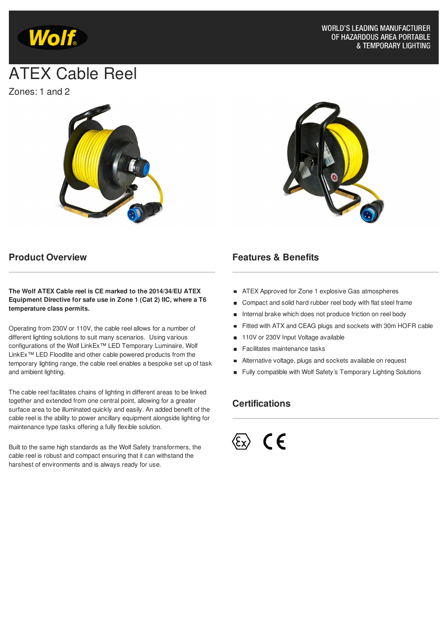

# ATEX Cable Reel

Zones: 1 and 2





#### **Product Overview**

**The Wolf ATEX Cable reel is CE marked to the 2014/34/EU ATEX Equipment Directive for safe use in Zone 1 (Cat 2) IIC, where a T6 temperature class permits.**

Operating from 230V or 110V, the cable reel allows for a number of different lighting solutions to suit many scenarios. Using various configurations of the Wolf LinkEx™ LED Temporary Luminaire, Wolf LinkEx™ LED Floodlite and other cable powered products from the temporary lighting range, the cable reel enables a bespoke set up of task and ambient lighting.

The cable reel facilitates chains of lighting in different areas to be linked together and extended from one central point, allowing for a greater surface area to be illuminated quickly and easily. An added benefit of the cable reel is the ability to power ancillary equipment alongside lighting for maintenance type tasks offering a fully flexible solution.

Built to the same high standards as the Wolf Safety transformers, the cable reel is robust and compact ensuring that it can withstand the harshest of environments and is always ready for use.

#### **Features & Benefits**

- **ATEX Approved for Zone 1 explosive Gas atmospheres**
- Compact and solid hard rubber reel body with flat steel frame  $\blacksquare$
- Internal brake which does not produce friction on reel body
- Fitted with ATX and CEAG plugs and sockets with 30m HOFR cable  $\blacksquare$
- 110V or 230V Input Voltage available  $\blacksquare$
- Facilitates maintenance tasks  $\blacksquare$
- Alternative voltage, plugs and sockets available on request  $\blacksquare$
- Fully compatible with Wolf Safety's Temporary Lighting Solutions

## **Certifications**

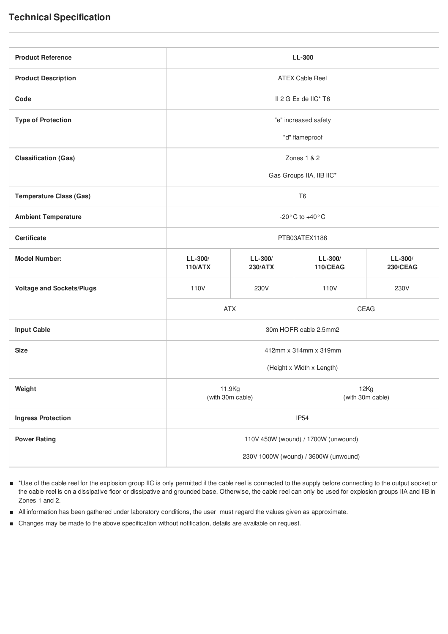| <b>Product Reference</b>         | LL-300                               |                             |                              |                              |
|----------------------------------|--------------------------------------|-----------------------------|------------------------------|------------------------------|
| <b>Product Description</b>       | <b>ATEX Cable Reel</b>               |                             |                              |                              |
| Code                             | II 2 G Ex de IIC* T6                 |                             |                              |                              |
| <b>Type of Protection</b>        | "e" increased safety                 |                             |                              |                              |
|                                  | "d" flameproof                       |                             |                              |                              |
| <b>Classification (Gas)</b>      | Zones 1 & 2                          |                             |                              |                              |
|                                  | Gas Groups IIA, IIB IIC*             |                             |                              |                              |
| <b>Temperature Class (Gas)</b>   | T <sub>6</sub>                       |                             |                              |                              |
| <b>Ambient Temperature</b>       | -20 $^{\circ}$ C to +40 $^{\circ}$ C |                             |                              |                              |
| <b>Certificate</b>               | PTB03ATEX1186                        |                             |                              |                              |
| <b>Model Number:</b>             | $LL-300/$<br><b>110/ATX</b>          | $LL-300/$<br><b>230/ATX</b> | $LL-300/$<br><b>110/CEAG</b> | $LL-300/$<br><b>230/CEAG</b> |
| <b>Voltage and Sockets/Plugs</b> | 110V                                 | 230V                        | 110V                         | 230V                         |
|                                  | <b>ATX</b>                           |                             | CEAG                         |                              |
| <b>Input Cable</b>               | 30m HOFR cable 2.5mm2                |                             |                              |                              |
| <b>Size</b>                      | 412mm x 314mm x 319mm                |                             |                              |                              |
|                                  | (Height x Width x Length)            |                             |                              |                              |
| Weight                           | 11.9Kg<br>(with 30m cable)           |                             | 12Kg<br>(with 30m cable)     |                              |
| <b>Ingress Protection</b>        | IP <sub>54</sub>                     |                             |                              |                              |
| <b>Power Rating</b>              | 110V 450W (wound) / 1700W (unwound)  |                             |                              |                              |
|                                  | 230V 1000W (wound) / 3600W (unwound) |                             |                              |                              |

- \*Use of the cable reel for the explosion group IIC is only permitted if the cable reel is connected to the supply before connecting to the output socket or the cable reel is on a dissipative floor or dissipative and grounded base. Otherwise, the cable reel can only be used for explosion groups IIA and IIB in Zones 1 and 2.
- All information has been gathered under laboratory conditions, the user must regard the values given as approximate.
- Changes may be made to the above specification without notification, details are available on request. $\blacksquare$